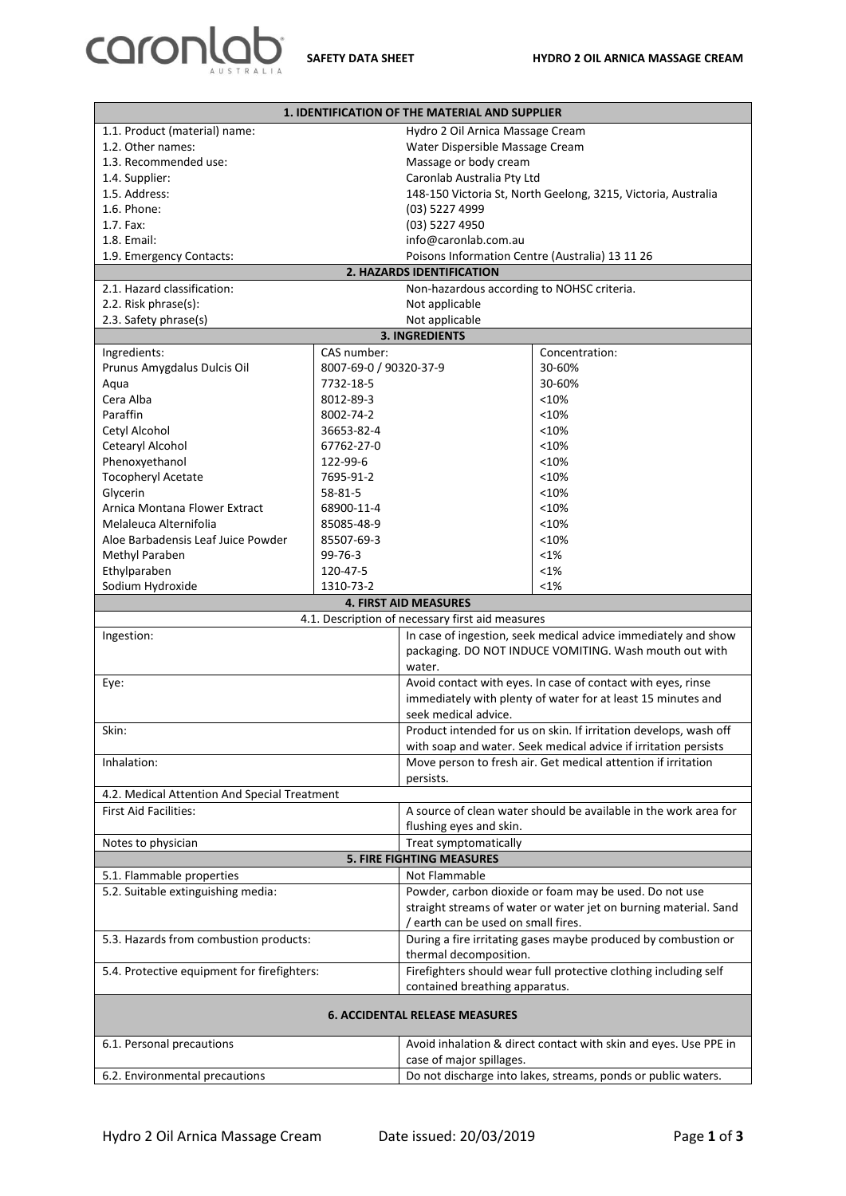

| <b>1. IDENTIFICATION OF THE MATERIAL AND SUPPLIER</b>                       |                        |                                                                                                                          |                                                                  |  |  |
|-----------------------------------------------------------------------------|------------------------|--------------------------------------------------------------------------------------------------------------------------|------------------------------------------------------------------|--|--|
| 1.1. Product (material) name:                                               |                        |                                                                                                                          | Hydro 2 Oil Arnica Massage Cream                                 |  |  |
| 1.2. Other names:                                                           |                        | Water Dispersible Massage Cream                                                                                          |                                                                  |  |  |
| 1.3. Recommended use:                                                       |                        | Massage or body cream                                                                                                    |                                                                  |  |  |
| 1.4. Supplier:                                                              |                        | Caronlab Australia Pty Ltd                                                                                               |                                                                  |  |  |
| 1.5. Address:                                                               |                        | 148-150 Victoria St, North Geelong, 3215, Victoria, Australia                                                            |                                                                  |  |  |
| 1.6. Phone:                                                                 |                        | (03) 5227 4999                                                                                                           |                                                                  |  |  |
| 1.7. Fax:                                                                   |                        | (03) 5227 4950                                                                                                           |                                                                  |  |  |
| 1.8. Email:<br>info@caronlab.com.au                                         |                        |                                                                                                                          |                                                                  |  |  |
| Poisons Information Centre (Australia) 13 11 26<br>1.9. Emergency Contacts: |                        |                                                                                                                          |                                                                  |  |  |
| 2. HAZARDS IDENTIFICATION                                                   |                        |                                                                                                                          |                                                                  |  |  |
| 2.1. Hazard classification:<br>Non-hazardous according to NOHSC criteria.   |                        |                                                                                                                          |                                                                  |  |  |
| 2.2. Risk phrase(s):                                                        |                        | Not applicable                                                                                                           |                                                                  |  |  |
| 2.3. Safety phrase(s)<br>Not applicable                                     |                        |                                                                                                                          |                                                                  |  |  |
|                                                                             |                        | <b>3. INGREDIENTS</b>                                                                                                    |                                                                  |  |  |
| Ingredients:                                                                | CAS number:            |                                                                                                                          | Concentration:                                                   |  |  |
| Prunus Amygdalus Dulcis Oil                                                 | 8007-69-0 / 90320-37-9 |                                                                                                                          | 30-60%                                                           |  |  |
| Aqua                                                                        | 7732-18-5              |                                                                                                                          | 30-60%                                                           |  |  |
| Cera Alba                                                                   | 8012-89-3              |                                                                                                                          | < 10%                                                            |  |  |
| Paraffin                                                                    | 8002-74-2              |                                                                                                                          | < 10%                                                            |  |  |
| Cetyl Alcohol                                                               | 36653-82-4             |                                                                                                                          | < 10%                                                            |  |  |
| Cetearyl Alcohol                                                            | 67762-27-0             |                                                                                                                          | < 10%                                                            |  |  |
| Phenoxyethanol                                                              | 122-99-6               |                                                                                                                          | < 10%                                                            |  |  |
| <b>Tocopheryl Acetate</b>                                                   | 7695-91-2              |                                                                                                                          | < 10%                                                            |  |  |
| Glycerin                                                                    | 58-81-5                |                                                                                                                          | < 10%                                                            |  |  |
| Arnica Montana Flower Extract                                               | 68900-11-4             |                                                                                                                          | < 10%                                                            |  |  |
| Melaleuca Alternifolia                                                      | 85085-48-9             |                                                                                                                          | < 10%                                                            |  |  |
| Aloe Barbadensis Leaf Juice Powder                                          | 85507-69-3             |                                                                                                                          | < 10%                                                            |  |  |
| Methyl Paraben                                                              | 99-76-3                |                                                                                                                          | $< 1\%$                                                          |  |  |
| Ethylparaben                                                                | 120-47-5               |                                                                                                                          | $< 1\%$                                                          |  |  |
| Sodium Hydroxide                                                            | 1310-73-2              |                                                                                                                          | $< 1\%$                                                          |  |  |
|                                                                             |                        | <b>4. FIRST AID MEASURES</b>                                                                                             |                                                                  |  |  |
|                                                                             |                        | 4.1. Description of necessary first aid measures                                                                         |                                                                  |  |  |
| Ingestion:                                                                  |                        | In case of ingestion, seek medical advice immediately and show<br>packaging. DO NOT INDUCE VOMITING. Wash mouth out with |                                                                  |  |  |
|                                                                             |                        |                                                                                                                          | water.                                                           |  |  |
|                                                                             |                        | Avoid contact with eyes. In case of contact with eyes, rinse                                                             |                                                                  |  |  |
| Eye:                                                                        |                        | immediately with plenty of water for at least 15 minutes and                                                             |                                                                  |  |  |
|                                                                             |                        | seek medical advice.                                                                                                     |                                                                  |  |  |
|                                                                             |                        | Product intended for us on skin. If irritation develops, wash off                                                        |                                                                  |  |  |
| Skin:                                                                       |                        | with soap and water. Seek medical advice if irritation persists                                                          |                                                                  |  |  |
| Inhalation:                                                                 |                        | Move person to fresh air. Get medical attention if irritation                                                            |                                                                  |  |  |
|                                                                             |                        | persists.                                                                                                                |                                                                  |  |  |
| 4.2. Medical Attention And Special Treatment                                |                        |                                                                                                                          |                                                                  |  |  |
| <b>First Aid Facilities:</b>                                                |                        |                                                                                                                          | A source of clean water should be available in the work area for |  |  |
|                                                                             |                        | flushing eyes and skin.                                                                                                  |                                                                  |  |  |
| Notes to physician                                                          |                        | Treat symptomatically                                                                                                    |                                                                  |  |  |
| 5. FIRE FIGHTING MEASURES                                                   |                        |                                                                                                                          |                                                                  |  |  |
| 5.1. Flammable properties                                                   |                        | Not Flammable                                                                                                            |                                                                  |  |  |
| 5.2. Suitable extinguishing media:                                          |                        | Powder, carbon dioxide or foam may be used. Do not use                                                                   |                                                                  |  |  |
|                                                                             |                        | straight streams of water or water jet on burning material. Sand                                                         |                                                                  |  |  |
|                                                                             |                        | / earth can be used on small fires.                                                                                      |                                                                  |  |  |
| 5.3. Hazards from combustion products:                                      |                        | During a fire irritating gases maybe produced by combustion or                                                           |                                                                  |  |  |
|                                                                             |                        | thermal decomposition.                                                                                                   |                                                                  |  |  |
| 5.4. Protective equipment for firefighters:                                 |                        | Firefighters should wear full protective clothing including self                                                         |                                                                  |  |  |
|                                                                             |                        | contained breathing apparatus.                                                                                           |                                                                  |  |  |
|                                                                             |                        |                                                                                                                          |                                                                  |  |  |
| <b>6. ACCIDENTAL RELEASE MEASURES</b>                                       |                        |                                                                                                                          |                                                                  |  |  |
| 6.1. Personal precautions                                                   |                        | Avoid inhalation & direct contact with skin and eyes. Use PPE in                                                         |                                                                  |  |  |
|                                                                             |                        | case of major spillages.                                                                                                 |                                                                  |  |  |
| 6.2. Environmental precautions                                              |                        | Do not discharge into lakes, streams, ponds or public waters.                                                            |                                                                  |  |  |
|                                                                             |                        |                                                                                                                          |                                                                  |  |  |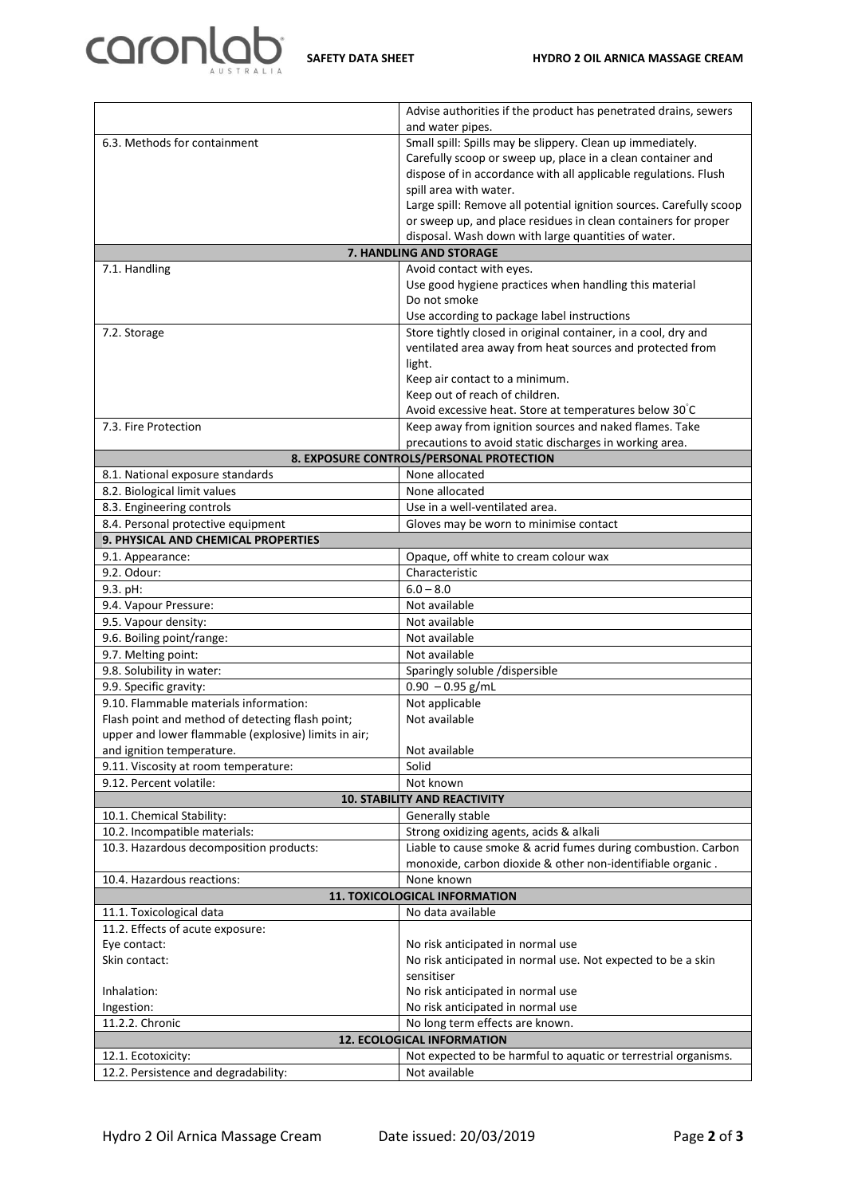

|                                                                                  | Advise authorities if the product has penetrated drains, sewers            |  |  |
|----------------------------------------------------------------------------------|----------------------------------------------------------------------------|--|--|
|                                                                                  | and water pipes.                                                           |  |  |
| 6.3. Methods for containment                                                     | Small spill: Spills may be slippery. Clean up immediately.                 |  |  |
|                                                                                  | Carefully scoop or sweep up, place in a clean container and                |  |  |
|                                                                                  | dispose of in accordance with all applicable regulations. Flush            |  |  |
|                                                                                  | spill area with water.                                                     |  |  |
|                                                                                  | Large spill: Remove all potential ignition sources. Carefully scoop        |  |  |
|                                                                                  | or sweep up, and place residues in clean containers for proper             |  |  |
|                                                                                  | disposal. Wash down with large quantities of water.                        |  |  |
|                                                                                  | 7. HANDLING AND STORAGE                                                    |  |  |
| 7.1. Handling                                                                    | Avoid contact with eyes.                                                   |  |  |
|                                                                                  | Use good hygiene practices when handling this material                     |  |  |
|                                                                                  | Do not smoke                                                               |  |  |
|                                                                                  | Use according to package label instructions                                |  |  |
| 7.2. Storage                                                                     | Store tightly closed in original container, in a cool, dry and             |  |  |
|                                                                                  | ventilated area away from heat sources and protected from                  |  |  |
|                                                                                  | light.                                                                     |  |  |
|                                                                                  | Keep air contact to a minimum.                                             |  |  |
|                                                                                  | Keep out of reach of children.                                             |  |  |
|                                                                                  | Avoid excessive heat. Store at temperatures below 30°C                     |  |  |
| 7.3. Fire Protection                                                             | Keep away from ignition sources and naked flames. Take                     |  |  |
|                                                                                  | precautions to avoid static discharges in working area.                    |  |  |
|                                                                                  | 8. EXPOSURE CONTROLS/PERSONAL PROTECTION                                   |  |  |
| 8.1. National exposure standards                                                 | None allocated                                                             |  |  |
| 8.2. Biological limit values                                                     | None allocated                                                             |  |  |
| 8.3. Engineering controls                                                        | Use in a well-ventilated area.                                             |  |  |
| 8.4. Personal protective equipment                                               | Gloves may be worn to minimise contact                                     |  |  |
| 9. PHYSICAL AND CHEMICAL PROPERTIES                                              |                                                                            |  |  |
| 9.1. Appearance:                                                                 | Opaque, off white to cream colour wax                                      |  |  |
| 9.2. Odour:                                                                      | Characteristic                                                             |  |  |
| 9.3. pH:                                                                         | $6.0 - 8.0$                                                                |  |  |
| 9.4. Vapour Pressure:                                                            | Not available                                                              |  |  |
| 9.5. Vapour density:                                                             | Not available                                                              |  |  |
| 9.6. Boiling point/range:                                                        | Not available                                                              |  |  |
| 9.7. Melting point:                                                              | Not available                                                              |  |  |
| 9.8. Solubility in water:                                                        | Sparingly soluble /dispersible                                             |  |  |
| 9.9. Specific gravity:                                                           | $0.90 - 0.95$ g/mL                                                         |  |  |
| 9.10. Flammable materials information:                                           | Not applicable                                                             |  |  |
| Flash point and method of detecting flash point;                                 | Not available                                                              |  |  |
| upper and lower flammable (explosive) limits in air;                             |                                                                            |  |  |
| and ignition temperature.                                                        | Not available                                                              |  |  |
| 9.11. Viscosity at room temperature:                                             | Solid                                                                      |  |  |
| 9.12. Percent volatile:                                                          | Not known                                                                  |  |  |
| <b>10. STABILITY AND REACTIVITY</b><br>10.1. Chemical Stability:                 |                                                                            |  |  |
|                                                                                  | Generally stable                                                           |  |  |
| 10.2. Incompatible materials:                                                    | Strong oxidizing agents, acids & alkali                                    |  |  |
| 10.3. Hazardous decomposition products:                                          | Liable to cause smoke & acrid fumes during combustion. Carbon              |  |  |
|                                                                                  | monoxide, carbon dioxide & other non-identifiable organic.                 |  |  |
| 10.4. Hazardous reactions:                                                       | None known<br><b>11. TOXICOLOGICAL INFORMATION</b>                         |  |  |
|                                                                                  |                                                                            |  |  |
| 11.1. Toxicological data                                                         | No data available                                                          |  |  |
| 11.2. Effects of acute exposure:                                                 |                                                                            |  |  |
| Eye contact:<br>Skin contact:                                                    | No risk anticipated in normal use                                          |  |  |
|                                                                                  | No risk anticipated in normal use. Not expected to be a skin<br>sensitiser |  |  |
|                                                                                  |                                                                            |  |  |
| Inhalation:                                                                      | No risk anticipated in normal use                                          |  |  |
| Ingestion:                                                                       | No risk anticipated in normal use                                          |  |  |
| 11.2.2. Chronic<br>No long term effects are known.<br>12. ECOLOGICAL INFORMATION |                                                                            |  |  |
| Not expected to be harmful to aquatic or terrestrial organisms.                  |                                                                            |  |  |
| 12.1. Ecotoxicity:                                                               |                                                                            |  |  |
| 12.2. Persistence and degradability:                                             | Not available                                                              |  |  |